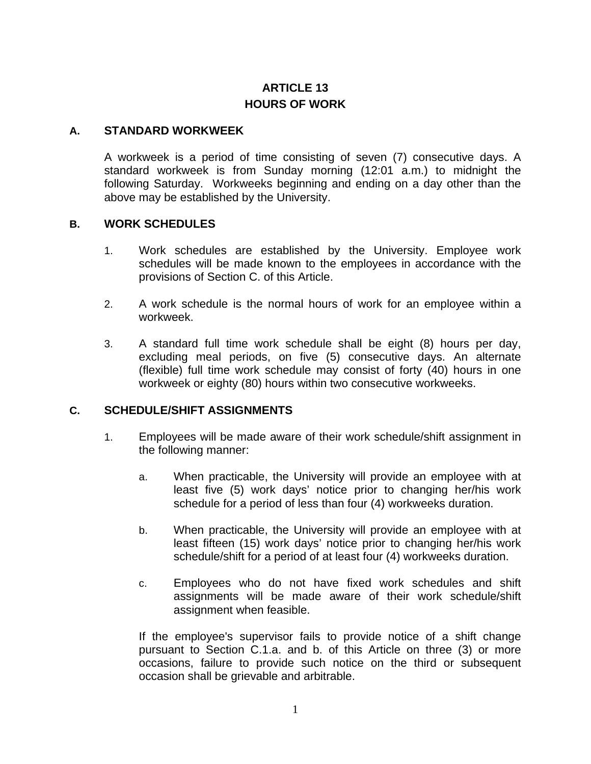# **ARTICLE 13 HOURS OF WORK**

#### **A. STANDARD WORKWEEK**

A workweek is a period of time consisting of seven (7) consecutive days. A standard workweek is from Sunday morning (12:01 a.m.) to midnight the following Saturday. Workweeks beginning and ending on a day other than the above may be established by the University.

#### **B. WORK SCHEDULES**

- 1. Work schedules are established by the University. Employee work schedules will be made known to the employees in accordance with the provisions of Section C. of this Article.
- 2. A work schedule is the normal hours of work for an employee within a workweek.
- 3. A standard full time work schedule shall be eight (8) hours per day, excluding meal periods, on five (5) consecutive days. An alternate (flexible) full time work schedule may consist of forty (40) hours in one workweek or eighty (80) hours within two consecutive workweeks.

#### **C. SCHEDULE/SHIFT ASSIGNMENTS**

- 1. Employees will be made aware of their work schedule/shift assignment in the following manner:
	- a. When practicable, the University will provide an employee with at least five (5) work days' notice prior to changing her/his work schedule for a period of less than four (4) workweeks duration.
	- b. When practicable, the University will provide an employee with at least fifteen (15) work days' notice prior to changing her/his work schedule/shift for a period of at least four (4) workweeks duration.
	- c. Employees who do not have fixed work schedules and shift assignments will be made aware of their work schedule/shift assignment when feasible.

If the employee's supervisor fails to provide notice of a shift change pursuant to Section C.1.a. and b. of this Article on three (3) or more occasions, failure to provide such notice on the third or subsequent occasion shall be grievable and arbitrable.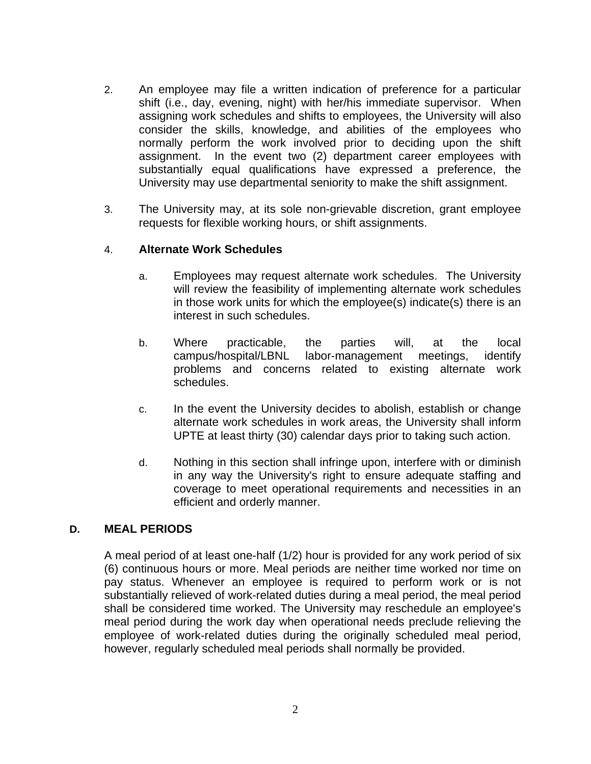- 2. An employee may file a written indication of preference for a particular shift (i.e., day, evening, night) with her/his immediate supervisor. When assigning work schedules and shifts to employees, the University will also consider the skills, knowledge, and abilities of the employees who normally perform the work involved prior to deciding upon the shift assignment. In the event two (2) department career employees with substantially equal qualifications have expressed a preference, the University may use departmental seniority to make the shift assignment.
- 3. The University may, at its sole non-grievable discretion, grant employee requests for flexible working hours, or shift assignments.

#### 4. **Alternate Work Schedules**

- a. Employees may request alternate work schedules. The University will review the feasibility of implementing alternate work schedules in those work units for which the employee(s) indicate(s) there is an interest in such schedules.
- b. Where practicable, the parties will, at the local campus/hospital/LBNL labor-management meetings, identify problems and concerns related to existing alternate work schedules.
- c. In the event the University decides to abolish, establish or change alternate work schedules in work areas, the University shall inform UPTE at least thirty (30) calendar days prior to taking such action.
- d. Nothing in this section shall infringe upon, interfere with or diminish in any way the University's right to ensure adequate staffing and coverage to meet operational requirements and necessities in an efficient and orderly manner.

#### **D. MEAL PERIODS**

A meal period of at least one-half (1/2) hour is provided for any work period of six (6) continuous hours or more. Meal periods are neither time worked nor time on pay status. Whenever an employee is required to perform work or is not substantially relieved of work-related duties during a meal period, the meal period shall be considered time worked. The University may reschedule an employee's meal period during the work day when operational needs preclude relieving the employee of work-related duties during the originally scheduled meal period, however, regularly scheduled meal periods shall normally be provided.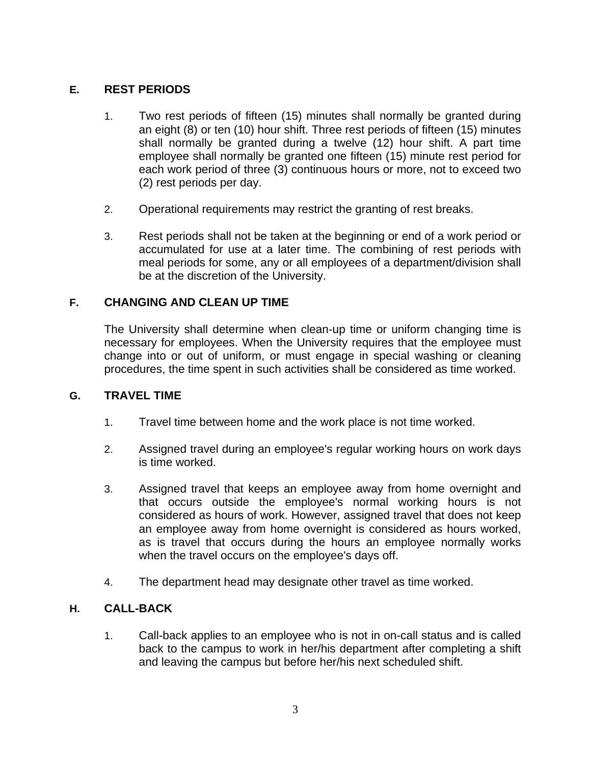## **E. REST PERIODS**

- 1. Two rest periods of fifteen (15) minutes shall normally be granted during an eight (8) or ten (10) hour shift. Three rest periods of fifteen (15) minutes shall normally be granted during a twelve (12) hour shift. A part time employee shall normally be granted one fifteen (15) minute rest period for each work period of three (3) continuous hours or more, not to exceed two (2) rest periods per day.
- 2. Operational requirements may restrict the granting of rest breaks.
- 3. Rest periods shall not be taken at the beginning or end of a work period or accumulated for use at a later time. The combining of rest periods with meal periods for some, any or all employees of a department/division shall be at the discretion of the University.

## **F. CHANGING AND CLEAN UP TIME**

The University shall determine when clean-up time or uniform changing time is necessary for employees. When the University requires that the employee must change into or out of uniform, or must engage in special washing or cleaning procedures, the time spent in such activities shall be considered as time worked.

#### **G. TRAVEL TIME**

- 1. Travel time between home and the work place is not time worked.
- 2. Assigned travel during an employee's regular working hours on work days is time worked.
- 3. Assigned travel that keeps an employee away from home overnight and that occurs outside the employee's normal working hours is not considered as hours of work. However, assigned travel that does not keep an employee away from home overnight is considered as hours worked, as is travel that occurs during the hours an employee normally works when the travel occurs on the employee's days off.
- 4. The department head may designate other travel as time worked.

#### **H. CALL-BACK**

1. Call-back applies to an employee who is not in on-call status and is called back to the campus to work in her/his department after completing a shift and leaving the campus but before her/his next scheduled shift.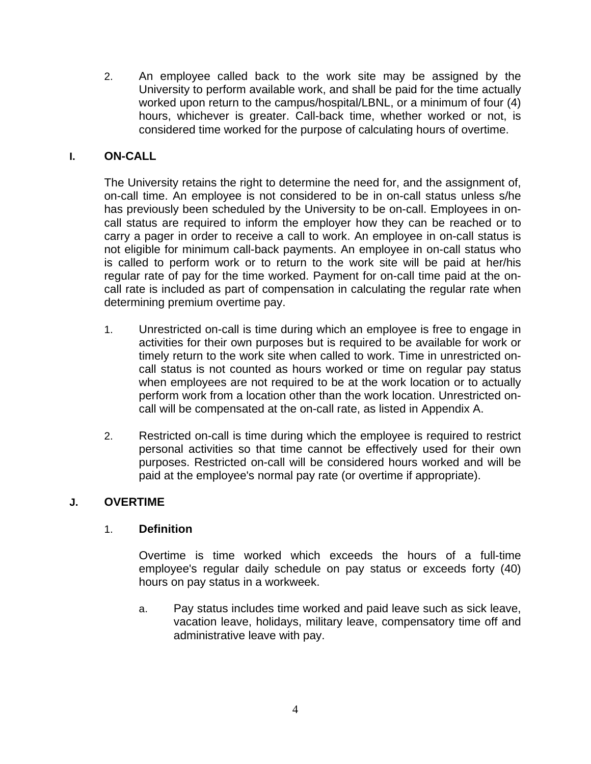2. An employee called back to the work site may be assigned by the University to perform available work, and shall be paid for the time actually worked upon return to the campus/hospital/LBNL, or a minimum of four (4) hours, whichever is greater. Call-back time, whether worked or not, is considered time worked for the purpose of calculating hours of overtime.

## **I. ON-CALL**

The University retains the right to determine the need for, and the assignment of, on-call time. An employee is not considered to be in on-call status unless s/he has previously been scheduled by the University to be on-call. Employees in oncall status are required to inform the employer how they can be reached or to carry a pager in order to receive a call to work. An employee in on-call status is not eligible for minimum call-back payments. An employee in on-call status who is called to perform work or to return to the work site will be paid at her/his regular rate of pay for the time worked. Payment for on-call time paid at the oncall rate is included as part of compensation in calculating the regular rate when determining premium overtime pay.

- 1. Unrestricted on-call is time during which an employee is free to engage in activities for their own purposes but is required to be available for work or timely return to the work site when called to work. Time in unrestricted oncall status is not counted as hours worked or time on regular pay status when employees are not required to be at the work location or to actually perform work from a location other than the work location. Unrestricted oncall will be compensated at the on-call rate, as listed in Appendix A.
- 2. Restricted on-call is time during which the employee is required to restrict personal activities so that time cannot be effectively used for their own purposes. Restricted on-call will be considered hours worked and will be paid at the employee's normal pay rate (or overtime if appropriate).

#### **J. OVERTIME**

#### 1. **Definition**

Overtime is time worked which exceeds the hours of a full-time employee's regular daily schedule on pay status or exceeds forty (40) hours on pay status in a workweek.

a. Pay status includes time worked and paid leave such as sick leave, vacation leave, holidays, military leave, compensatory time off and administrative leave with pay.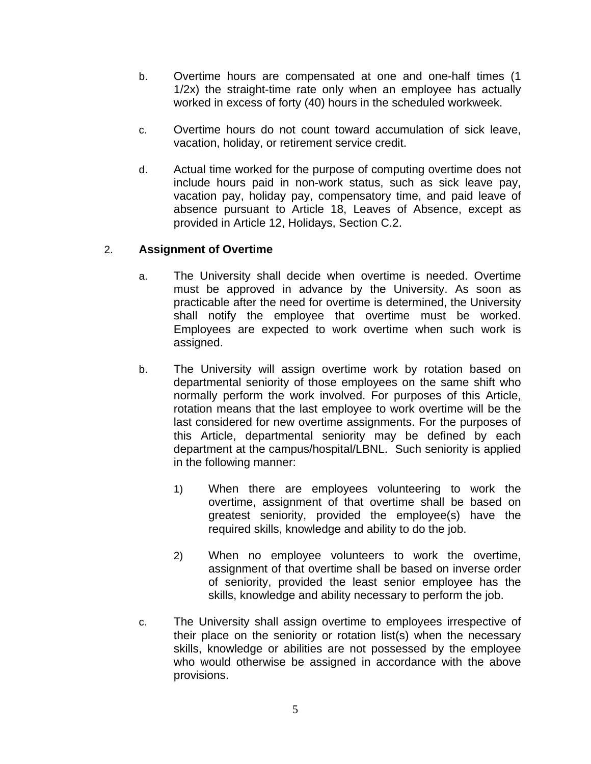- b. Overtime hours are compensated at one and one-half times (1 1/2x) the straight-time rate only when an employee has actually worked in excess of forty (40) hours in the scheduled workweek.
- c. Overtime hours do not count toward accumulation of sick leave, vacation, holiday, or retirement service credit.
- d. Actual time worked for the purpose of computing overtime does not include hours paid in non-work status, such as sick leave pay, vacation pay, holiday pay, compensatory time, and paid leave of absence pursuant to Article 18, Leaves of Absence, except as provided in Article 12, Holidays, Section C.2.

## 2. **Assignment of Overtime**

- a. The University shall decide when overtime is needed. Overtime must be approved in advance by the University. As soon as practicable after the need for overtime is determined, the University shall notify the employee that overtime must be worked. Employees are expected to work overtime when such work is assigned.
- b. The University will assign overtime work by rotation based on departmental seniority of those employees on the same shift who normally perform the work involved. For purposes of this Article, rotation means that the last employee to work overtime will be the last considered for new overtime assignments. For the purposes of this Article, departmental seniority may be defined by each department at the campus/hospital/LBNL. Such seniority is applied in the following manner:
	- 1) When there are employees volunteering to work the overtime, assignment of that overtime shall be based on greatest seniority, provided the employee(s) have the required skills, knowledge and ability to do the job.
	- 2) When no employee volunteers to work the overtime, assignment of that overtime shall be based on inverse order of seniority, provided the least senior employee has the skills, knowledge and ability necessary to perform the job.
- c. The University shall assign overtime to employees irrespective of their place on the seniority or rotation list(s) when the necessary skills, knowledge or abilities are not possessed by the employee who would otherwise be assigned in accordance with the above provisions.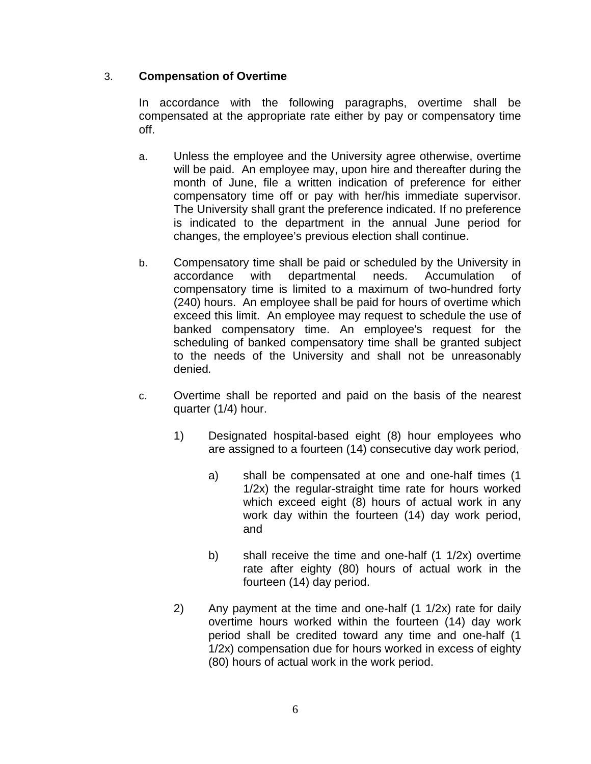## 3. **Compensation of Overtime**

In accordance with the following paragraphs, overtime shall be compensated at the appropriate rate either by pay or compensatory time off.

- a. Unless the employee and the University agree otherwise, overtime will be paid. An employee may, upon hire and thereafter during the month of June, file a written indication of preference for either compensatory time off or pay with her/his immediate supervisor. The University shall grant the preference indicated. If no preference is indicated to the department in the annual June period for changes, the employee's previous election shall continue.
- b. Compensatory time shall be paid or scheduled by the University in accordance with departmental needs. Accumulation of compensatory time is limited to a maximum of two-hundred forty (240) hours. An employee shall be paid for hours of overtime which exceed this limit. An employee may request to schedule the use of banked compensatory time. An employee's request for the scheduling of banked compensatory time shall be granted subject to the needs of the University and shall not be unreasonably denied*.*
- c. Overtime shall be reported and paid on the basis of the nearest quarter (1/4) hour.
	- 1) Designated hospital-based eight (8) hour employees who are assigned to a fourteen (14) consecutive day work period,
		- a) shall be compensated at one and one-half times (1 1/2x) the regular-straight time rate for hours worked which exceed eight (8) hours of actual work in any work day within the fourteen (14) day work period, and
		- b) shall receive the time and one-half (1 1/2x) overtime rate after eighty (80) hours of actual work in the fourteen (14) day period.
	- 2) Any payment at the time and one-half (1 1/2x) rate for daily overtime hours worked within the fourteen (14) day work period shall be credited toward any time and one-half (1 1/2x) compensation due for hours worked in excess of eighty (80) hours of actual work in the work period.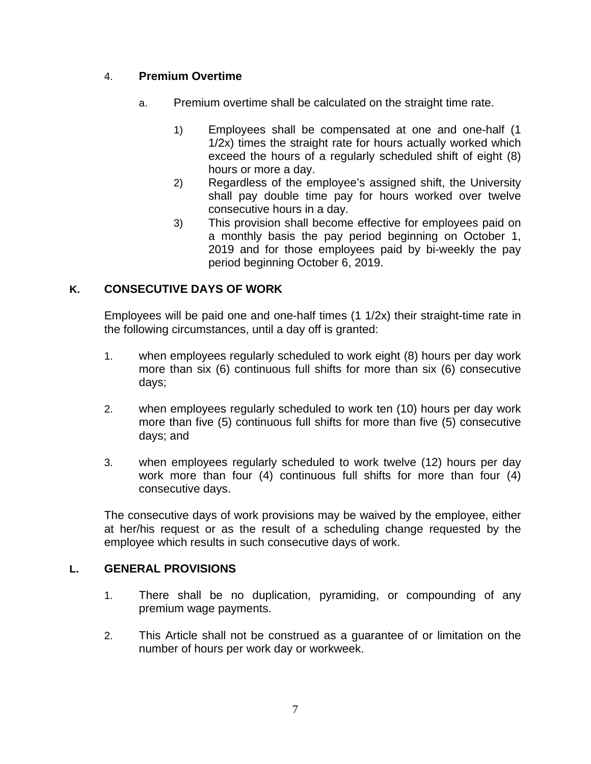## 4. **Premium Overtime**

- a. Premium overtime shall be calculated on the straight time rate.
	- 1) Employees shall be compensated at one and one-half (1 1/2x) times the straight rate for hours actually worked which exceed the hours of a regularly scheduled shift of eight (8) hours or more a day.
	- 2) Regardless of the employee's assigned shift, the University shall pay double time pay for hours worked over twelve consecutive hours in a day.
	- 3) This provision shall become effective for employees paid on a monthly basis the pay period beginning on October 1, 2019 and for those employees paid by bi-weekly the pay period beginning October 6, 2019.

## **K. CONSECUTIVE DAYS OF WORK**

Employees will be paid one and one-half times (1 1/2x) their straight-time rate in the following circumstances, until a day off is granted:

- 1. when employees regularly scheduled to work eight (8) hours per day work more than six (6) continuous full shifts for more than six (6) consecutive days;
- 2. when employees regularly scheduled to work ten (10) hours per day work more than five (5) continuous full shifts for more than five (5) consecutive days; and
- 3. when employees regularly scheduled to work twelve (12) hours per day work more than four (4) continuous full shifts for more than four (4) consecutive days.

The consecutive days of work provisions may be waived by the employee, either at her/his request or as the result of a scheduling change requested by the employee which results in such consecutive days of work.

#### **L. GENERAL PROVISIONS**

- 1. There shall be no duplication, pyramiding, or compounding of any premium wage payments.
- 2. This Article shall not be construed as a guarantee of or limitation on the number of hours per work day or workweek.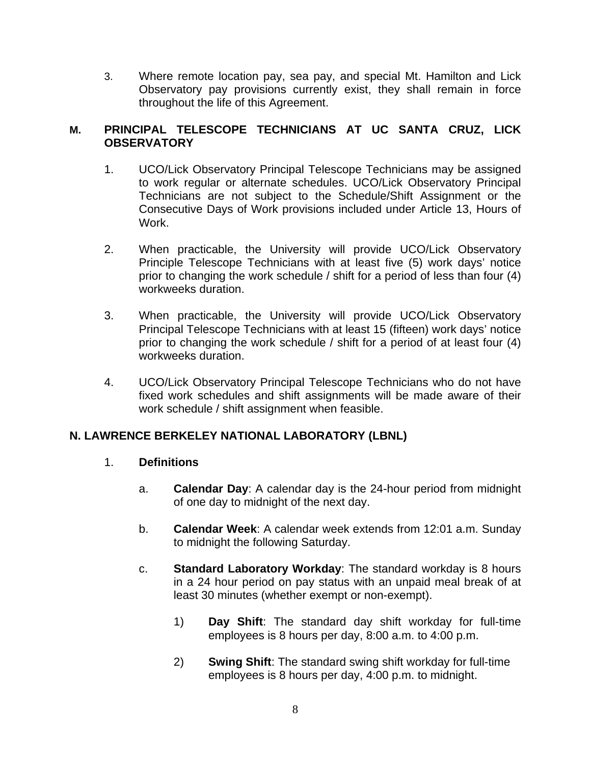3. Where remote location pay, sea pay, and special Mt. Hamilton and Lick Observatory pay provisions currently exist, they shall remain in force throughout the life of this Agreement.

#### **M. PRINCIPAL TELESCOPE TECHNICIANS AT UC SANTA CRUZ, LICK OBSERVATORY**

- 1. UCO/Lick Observatory Principal Telescope Technicians may be assigned to work regular or alternate schedules. UCO/Lick Observatory Principal Technicians are not subject to the Schedule/Shift Assignment or the Consecutive Days of Work provisions included under Article 13, Hours of Work.
- 2. When practicable, the University will provide UCO/Lick Observatory Principle Telescope Technicians with at least five (5) work days' notice prior to changing the work schedule / shift for a period of less than four (4) workweeks duration.
- 3. When practicable, the University will provide UCO/Lick Observatory Principal Telescope Technicians with at least 15 (fifteen) work days' notice prior to changing the work schedule / shift for a period of at least four (4) workweeks duration.
- 4. UCO/Lick Observatory Principal Telescope Technicians who do not have fixed work schedules and shift assignments will be made aware of their work schedule / shift assignment when feasible.

## **N. LAWRENCE BERKELEY NATIONAL LABORATORY (LBNL)**

#### 1. **Definitions**

- a. **Calendar Day**: A calendar day is the 24-hour period from midnight of one day to midnight of the next day.
- b. **Calendar Week**: A calendar week extends from 12:01 a.m. Sunday to midnight the following Saturday.
- c. **Standard Laboratory Workday**: The standard workday is 8 hours in a 24 hour period on pay status with an unpaid meal break of at least 30 minutes (whether exempt or non-exempt).
	- 1) **Day Shift**: The standard day shift workday for full-time employees is 8 hours per day, 8:00 a.m. to 4:00 p.m.
	- 2) **Swing Shift**: The standard swing shift workday for full-time employees is 8 hours per day, 4:00 p.m. to midnight.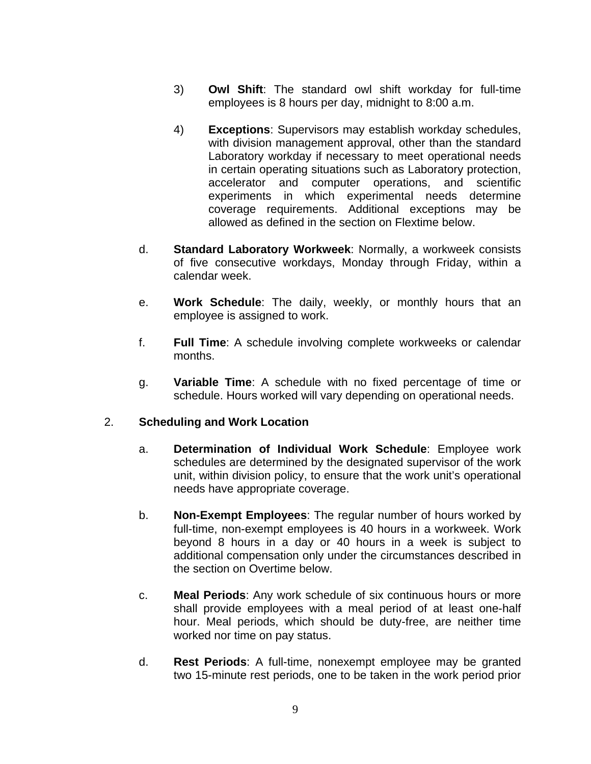- 3) **Owl Shift**: The standard owl shift workday for full-time employees is 8 hours per day, midnight to 8:00 a.m.
- 4) **Exceptions**: Supervisors may establish workday schedules, with division management approval, other than the standard Laboratory workday if necessary to meet operational needs in certain operating situations such as Laboratory protection, accelerator and computer operations, and scientific experiments in which experimental needs determine coverage requirements. Additional exceptions may be allowed as defined in the section on Flextime below.
- d. **Standard Laboratory Workweek**: Normally, a workweek consists of five consecutive workdays, Monday through Friday, within a calendar week.
- e. **Work Schedule**: The daily, weekly, or monthly hours that an employee is assigned to work.
- f. **Full Time**: A schedule involving complete workweeks or calendar months.
- g. **Variable Time**: A schedule with no fixed percentage of time or schedule. Hours worked will vary depending on operational needs.

#### 2. **Scheduling and Work Location**

- a. **Determination of Individual Work Schedule**: Employee work schedules are determined by the designated supervisor of the work unit, within division policy, to ensure that the work unit's operational needs have appropriate coverage.
- b. **Non-Exempt Employees**: The regular number of hours worked by full-time, non-exempt employees is 40 hours in a workweek. Work beyond 8 hours in a day or 40 hours in a week is subject to additional compensation only under the circumstances described in the section on Overtime below.
- c. **Meal Periods**: Any work schedule of six continuous hours or more shall provide employees with a meal period of at least one-half hour. Meal periods, which should be duty-free, are neither time worked nor time on pay status.
- d. **Rest Periods**: A full-time, nonexempt employee may be granted two 15-minute rest periods, one to be taken in the work period prior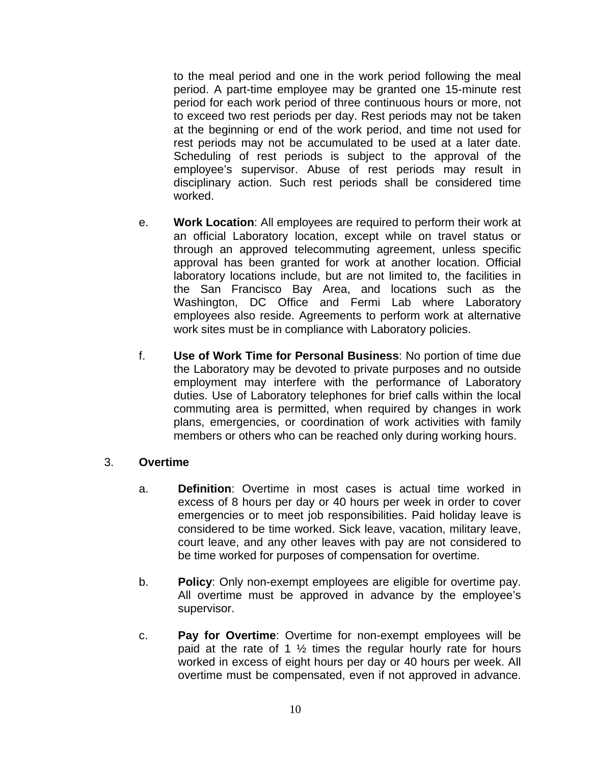to the meal period and one in the work period following the meal period. A part-time employee may be granted one 15-minute rest period for each work period of three continuous hours or more, not to exceed two rest periods per day. Rest periods may not be taken at the beginning or end of the work period, and time not used for rest periods may not be accumulated to be used at a later date. Scheduling of rest periods is subject to the approval of the employee's supervisor. Abuse of rest periods may result in disciplinary action. Such rest periods shall be considered time worked.

- e. **Work Location**: All employees are required to perform their work at an official Laboratory location, except while on travel status or through an approved telecommuting agreement, unless specific approval has been granted for work at another location. Official laboratory locations include, but are not limited to, the facilities in the San Francisco Bay Area, and locations such as the Washington, DC Office and Fermi Lab where Laboratory employees also reside. Agreements to perform work at alternative work sites must be in compliance with Laboratory policies.
- f. **Use of Work Time for Personal Business**: No portion of time due the Laboratory may be devoted to private purposes and no outside employment may interfere with the performance of Laboratory duties. Use of Laboratory telephones for brief calls within the local commuting area is permitted, when required by changes in work plans, emergencies, or coordination of work activities with family members or others who can be reached only during working hours.

#### 3. **Overtime**

- a. **Definition**: Overtime in most cases is actual time worked in excess of 8 hours per day or 40 hours per week in order to cover emergencies or to meet job responsibilities. Paid holiday leave is considered to be time worked. Sick leave, vacation, military leave, court leave, and any other leaves with pay are not considered to be time worked for purposes of compensation for overtime.
- b. **Policy**: Only non-exempt employees are eligible for overtime pay. All overtime must be approved in advance by the employee's supervisor.
- c. **Pay for Overtime**: Overtime for non-exempt employees will be paid at the rate of 1  $\frac{1}{2}$  times the regular hourly rate for hours worked in excess of eight hours per day or 40 hours per week. All overtime must be compensated, even if not approved in advance.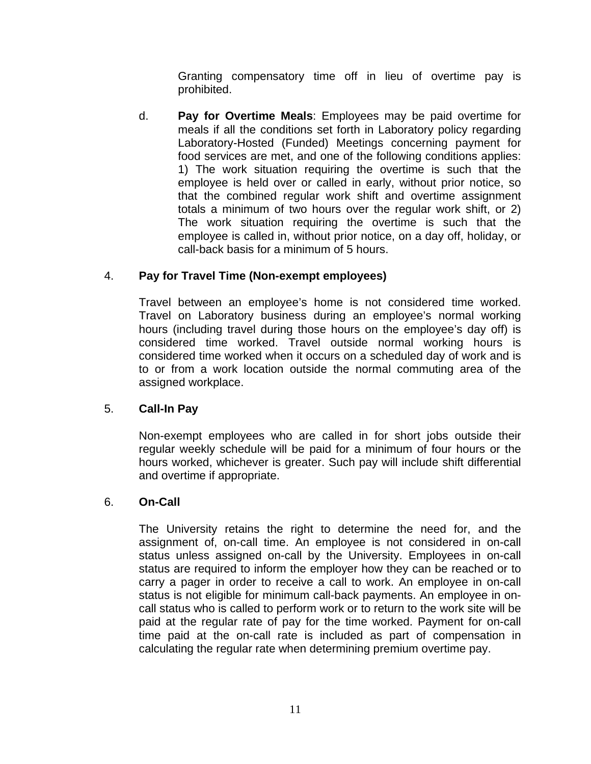Granting compensatory time off in lieu of overtime pay is prohibited.

d. **Pay for Overtime Meals**: Employees may be paid overtime for meals if all the conditions set forth in Laboratory policy regarding Laboratory-Hosted (Funded) Meetings concerning payment for food services are met, and one of the following conditions applies: 1) The work situation requiring the overtime is such that the employee is held over or called in early, without prior notice, so that the combined regular work shift and overtime assignment totals a minimum of two hours over the regular work shift, or 2) The work situation requiring the overtime is such that the employee is called in, without prior notice, on a day off, holiday, or call-back basis for a minimum of 5 hours.

# 4. **Pay for Travel Time (Non-exempt employees)**

Travel between an employee's home is not considered time worked. Travel on Laboratory business during an employee's normal working hours (including travel during those hours on the employee's day off) is considered time worked. Travel outside normal working hours is considered time worked when it occurs on a scheduled day of work and is to or from a work location outside the normal commuting area of the assigned workplace.

## 5. **Call-In Pay**

Non-exempt employees who are called in for short jobs outside their regular weekly schedule will be paid for a minimum of four hours or the hours worked, whichever is greater. Such pay will include shift differential and overtime if appropriate.

## 6. **On-Call**

The University retains the right to determine the need for, and the assignment of, on-call time. An employee is not considered in on-call status unless assigned on-call by the University. Employees in on-call status are required to inform the employer how they can be reached or to carry a pager in order to receive a call to work. An employee in on-call status is not eligible for minimum call-back payments. An employee in oncall status who is called to perform work or to return to the work site will be paid at the regular rate of pay for the time worked. Payment for on-call time paid at the on-call rate is included as part of compensation in calculating the regular rate when determining premium overtime pay.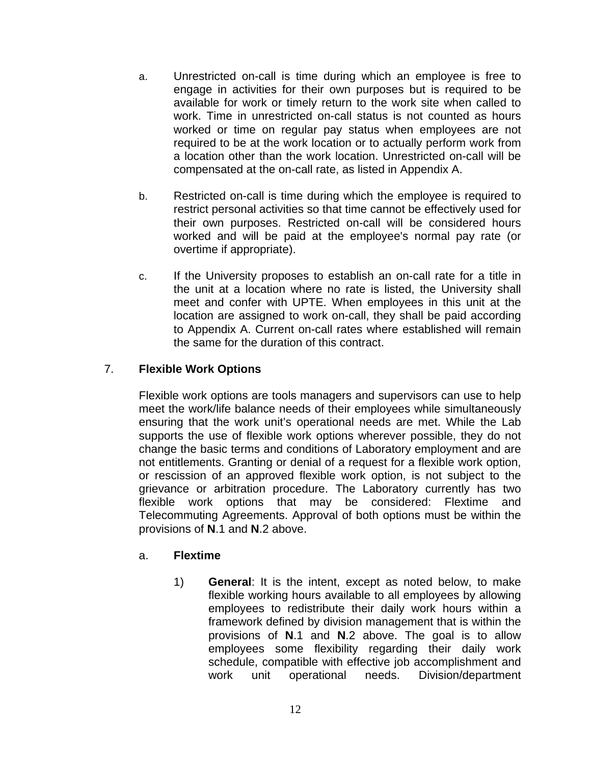- a. Unrestricted on-call is time during which an employee is free to engage in activities for their own purposes but is required to be available for work or timely return to the work site when called to work. Time in unrestricted on-call status is not counted as hours worked or time on regular pay status when employees are not required to be at the work location or to actually perform work from a location other than the work location. Unrestricted on-call will be compensated at the on-call rate, as listed in Appendix A.
- b. Restricted on-call is time during which the employee is required to restrict personal activities so that time cannot be effectively used for their own purposes. Restricted on-call will be considered hours worked and will be paid at the employee's normal pay rate (or overtime if appropriate).
- c. If the University proposes to establish an on-call rate for a title in the unit at a location where no rate is listed, the University shall meet and confer with UPTE. When employees in this unit at the location are assigned to work on-call, they shall be paid according to Appendix A. Current on-call rates where established will remain the same for the duration of this contract.

## 7. **Flexible Work Options**

Flexible work options are tools managers and supervisors can use to help meet the work/life balance needs of their employees while simultaneously ensuring that the work unit's operational needs are met. While the Lab supports the use of flexible work options wherever possible, they do not change the basic terms and conditions of Laboratory employment and are not entitlements. Granting or denial of a request for a flexible work option, or rescission of an approved flexible work option, is not subject to the grievance or arbitration procedure. The Laboratory currently has two flexible work options that may be considered: Flextime and Telecommuting Agreements. Approval of both options must be within the provisions of **N**.1 and **N**.2 above.

#### a. **Flextime**

1) **General**: It is the intent, except as noted below, to make flexible working hours available to all employees by allowing employees to redistribute their daily work hours within a framework defined by division management that is within the provisions of **N**.1 and **N**.2 above. The goal is to allow employees some flexibility regarding their daily work schedule, compatible with effective job accomplishment and work unit operational needs. Division/department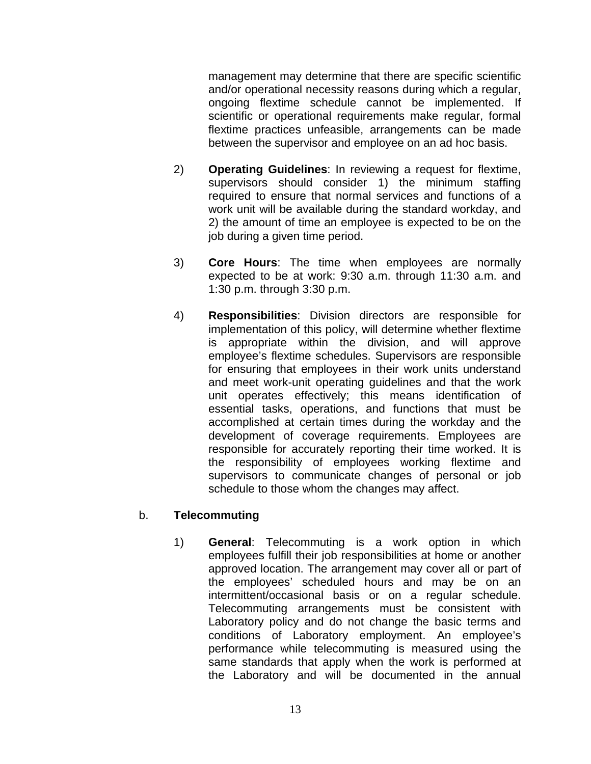management may determine that there are specific scientific and/or operational necessity reasons during which a regular, ongoing flextime schedule cannot be implemented. If scientific or operational requirements make regular, formal flextime practices unfeasible, arrangements can be made between the supervisor and employee on an ad hoc basis.

- 2) **Operating Guidelines**: In reviewing a request for flextime, supervisors should consider 1) the minimum staffing required to ensure that normal services and functions of a work unit will be available during the standard workday, and 2) the amount of time an employee is expected to be on the job during a given time period.
- 3) **Core Hours**: The time when employees are normally expected to be at work: 9:30 a.m. through 11:30 a.m. and 1:30 p.m. through 3:30 p.m.
- 4) **Responsibilities**: Division directors are responsible for implementation of this policy, will determine whether flextime is appropriate within the division, and will approve employee's flextime schedules. Supervisors are responsible for ensuring that employees in their work units understand and meet work-unit operating guidelines and that the work unit operates effectively; this means identification of essential tasks, operations, and functions that must be accomplished at certain times during the workday and the development of coverage requirements. Employees are responsible for accurately reporting their time worked. It is the responsibility of employees working flextime and supervisors to communicate changes of personal or job schedule to those whom the changes may affect.

#### b. **Telecommuting**

1) **General**: Telecommuting is a work option in which employees fulfill their job responsibilities at home or another approved location. The arrangement may cover all or part of the employees' scheduled hours and may be on an intermittent/occasional basis or on a regular schedule. Telecommuting arrangements must be consistent with Laboratory policy and do not change the basic terms and conditions of Laboratory employment. An employee's performance while telecommuting is measured using the same standards that apply when the work is performed at the Laboratory and will be documented in the annual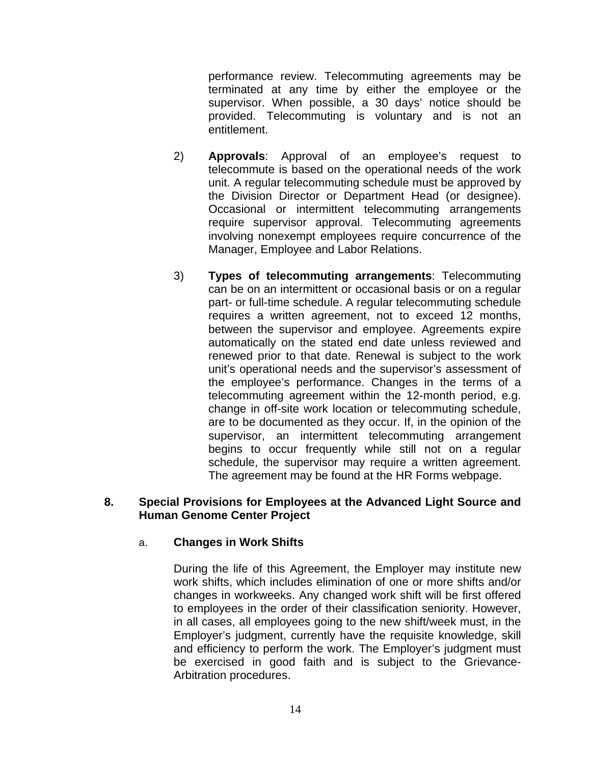performance review. Telecommuting agreements may be terminated at any time by either the employee or the supervisor. When possible, a 30 days' notice should be provided. Telecommuting is voluntary and is not an entitlement.

- 2) **Approvals**: Approval of an employee's request to telecommute is based on the operational needs of the work unit. A regular telecommuting schedule must be approved by the Division Director or Department Head (or designee). Occasional or intermittent telecommuting arrangements require supervisor approval. Telecommuting agreements involving nonexempt employees require concurrence of the Manager, Employee and Labor Relations.
- 3) **Types of telecommuting arrangements**: Telecommuting can be on an intermittent or occasional basis or on a regular part- or full-time schedule. A regular telecommuting schedule requires a written agreement, not to exceed 12 months, between the supervisor and employee. Agreements expire automatically on the stated end date unless reviewed and renewed prior to that date. Renewal is subject to the work unit's operational needs and the supervisor's assessment of the employee's performance. Changes in the terms of a telecommuting agreement within the 12-month period, e.g. change in off-site work location or telecommuting schedule, are to be documented as they occur. If, in the opinion of the supervisor, an intermittent telecommuting arrangement begins to occur frequently while still not on a regular schedule, the supervisor may require a written agreement. The agreement may be found at the HR Forms webpage.

#### **8. Special Provisions for Employees at the Advanced Light Source and Human Genome Center Project**

#### a. **Changes in Work Shifts**

During the life of this Agreement, the Employer may institute new work shifts, which includes elimination of one or more shifts and/or changes in workweeks. Any changed work shift will be first offered to employees in the order of their classification seniority. However, in all cases, all employees going to the new shift/week must, in the Employer's judgment, currently have the requisite knowledge, skill and efficiency to perform the work. The Employer's judgment must be exercised in good faith and is subject to the Grievance-Arbitration procedures.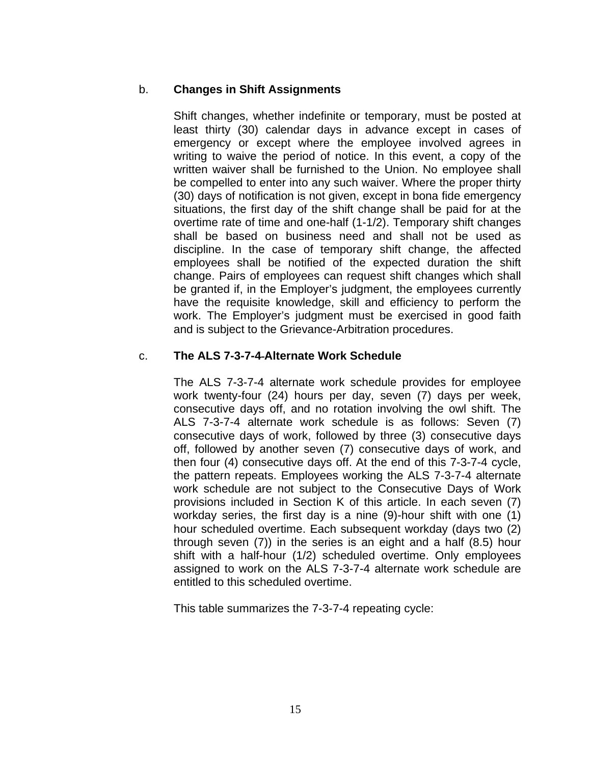### b. **Changes in Shift Assignments**

Shift changes, whether indefinite or temporary, must be posted at least thirty (30) calendar days in advance except in cases of emergency or except where the employee involved agrees in writing to waive the period of notice. In this event, a copy of the written waiver shall be furnished to the Union. No employee shall be compelled to enter into any such waiver. Where the proper thirty (30) days of notification is not given, except in bona fide emergency situations, the first day of the shift change shall be paid for at the overtime rate of time and one-half (1-1/2). Temporary shift changes shall be based on business need and shall not be used as discipline. In the case of temporary shift change, the affected employees shall be notified of the expected duration the shift change. Pairs of employees can request shift changes which shall be granted if, in the Employer's judgment, the employees currently have the requisite knowledge, skill and efficiency to perform the work. The Employer's judgment must be exercised in good faith and is subject to the Grievance-Arbitration procedures.

## c. **The ALS 7-3-7-4 Alternate Work Schedule**

The ALS 7-3-7-4 alternate work schedule provides for employee work twenty-four (24) hours per day, seven (7) days per week, consecutive days off, and no rotation involving the owl shift. The ALS 7-3-7-4 alternate work schedule is as follows: Seven (7) consecutive days of work, followed by three (3) consecutive days off, followed by another seven (7) consecutive days of work, and then four (4) consecutive days off. At the end of this 7-3-7-4 cycle, the pattern repeats. Employees working the ALS 7-3-7-4 alternate work schedule are not subject to the Consecutive Days of Work provisions included in Section K of this article. In each seven (7) workday series, the first day is a nine (9)-hour shift with one (1) hour scheduled overtime. Each subsequent workday (days two (2) through seven (7)) in the series is an eight and a half (8.5) hour shift with a half-hour (1/2) scheduled overtime. Only employees assigned to work on the ALS 7-3-7-4 alternate work schedule are entitled to this scheduled overtime.

This table summarizes the 7-3-7-4 repeating cycle: